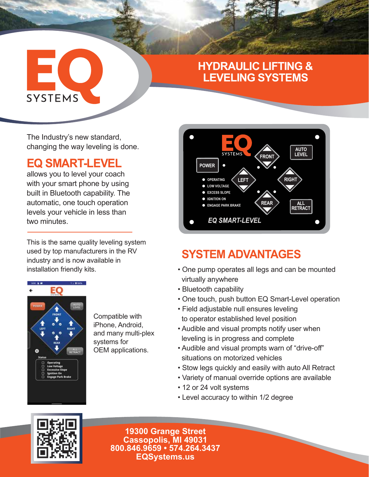## **HYDRAULIC LIFTING & LEVELING SYSTEMS**

The Industry's new standard, changing the way leveling is done.

# **EQ SMART-LEVEL**

EC

**SYSTEMS** 

allows you to level your coach with your smart phone by using built in Bluetooth capability. The automatic, one touch operation levels your vehicle in less than two minutes.

This is the same quality leveling system used by top manufacturers in the RV industry and is now available in installation friendly kits.



Compatible with iPhone, Android, and many multi-plex systems for OEM applications.



# **SYSTEM ADVANTAGES**

- One pump operates all legs and can be mounted virtually anywhere
- Bluetooth capability
- One touch, push button EQ Smart-Level operation
- Field adjustable null ensures leveling
- to operator established level position
- Audible and visual prompts notify user when leveling is in progress and complete
- Audible and visual prompts warn of "drive-off" situations on motorized vehicles
- Stow legs quickly and easily with auto All Retract
- Variety of manual override options are available
- 12 or 24 volt systems
- Level accuracy to within 1/2 degree



**19300 Grange Street Cassopolis, MI 49031 800.846.9659 • 574.264.3437 EQSystems.us**